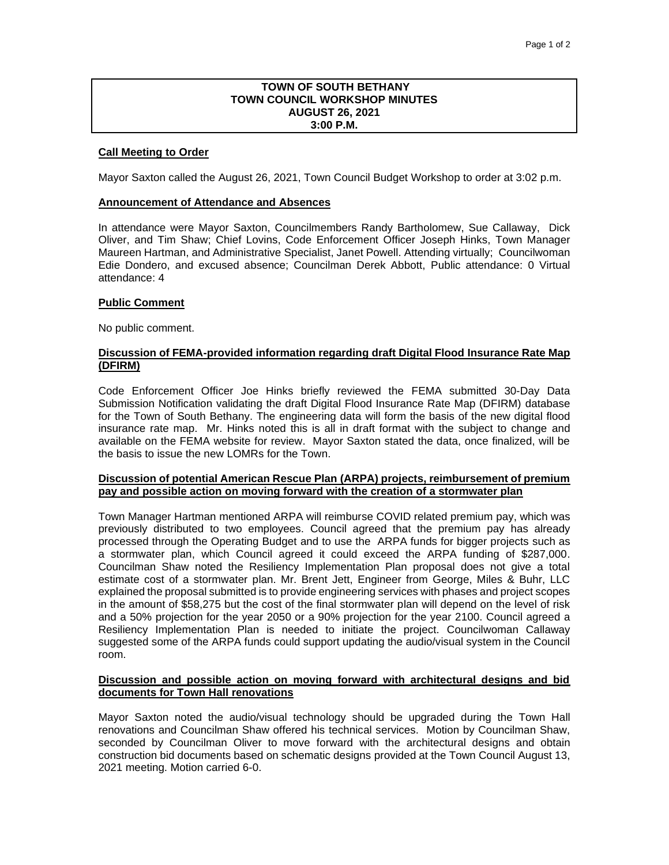# **TOWN OF SOUTH BETHANY TOWN COUNCIL WORKSHOP MINUTES AUGUST 26, 2021 3:00 P.M.**

#### **Call Meeting to Order**

Mayor Saxton called the August 26, 2021, Town Council Budget Workshop to order at 3:02 p.m.

#### **Announcement of Attendance and Absences**

In attendance were Mayor Saxton, Councilmembers Randy Bartholomew, Sue Callaway, Dick Oliver, and Tim Shaw; Chief Lovins, Code Enforcement Officer Joseph Hinks, Town Manager Maureen Hartman, and Administrative Specialist, Janet Powell. Attending virtually; Councilwoman Edie Dondero, and excused absence; Councilman Derek Abbott, Public attendance: 0 Virtual attendance: 4

### **Public Comment**

No public comment.

## **Discussion of FEMA-provided information regarding draft Digital Flood Insurance Rate Map (DFIRM)**

Code Enforcement Officer Joe Hinks briefly reviewed the FEMA submitted 30-Day Data Submission Notification validating the draft Digital Flood Insurance Rate Map (DFIRM) database for the Town of South Bethany. The engineering data will form the basis of the new digital flood insurance rate map. Mr. Hinks noted this is all in draft format with the subject to change and available on the FEMA website for review. Mayor Saxton stated the data, once finalized, will be the basis to issue the new LOMRs for the Town.

### **Discussion of potential American Rescue Plan (ARPA) projects, reimbursement of premium pay and possible action on moving forward with the creation of a stormwater plan**

Town Manager Hartman mentioned ARPA will reimburse COVID related premium pay, which was previously distributed to two employees. Council agreed that the premium pay has already processed through the Operating Budget and to use the ARPA funds for bigger projects such as a stormwater plan, which Council agreed it could exceed the ARPA funding of \$287,000. Councilman Shaw noted the Resiliency Implementation Plan proposal does not give a total estimate cost of a stormwater plan. Mr. Brent Jett, Engineer from George, Miles & Buhr, LLC explained the proposal submitted is to provide engineering services with phases and project scopes in the amount of \$58,275 but the cost of the final stormwater plan will depend on the level of risk and a 50% projection for the year 2050 or a 90% projection for the year 2100. Council agreed a Resiliency Implementation Plan is needed to initiate the project. Councilwoman Callaway suggested some of the ARPA funds could support updating the audio/visual system in the Council room.

### **Discussion and possible action on moving forward with architectural designs and bid documents for Town Hall renovations**

Mayor Saxton noted the audio/visual technology should be upgraded during the Town Hall renovations and Councilman Shaw offered his technical services. Motion by Councilman Shaw, seconded by Councilman Oliver to move forward with the architectural designs and obtain construction bid documents based on schematic designs provided at the Town Council August 13, 2021 meeting. Motion carried 6-0.